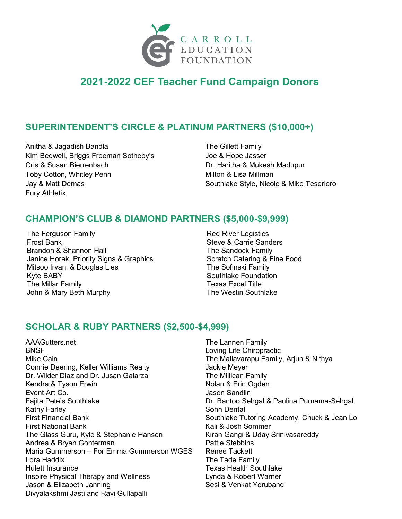

# **2021-2022 CEF Teacher Fund Campaign Donors**

## **SUPERINTENDENT'S CIRCLE & PLATINUM PARTNERS (\$10,000+)**

Anitha & Jagadish Bandla Kim Bedwell, Briggs Freeman Sotheby's Cris & Susan Bierrenbach Toby Cotton, Whitley Penn Jay & Matt Demas Fury Athletix

The Gillett Family Joe & Hope Jasser Dr. Haritha & Mukesh Madupur Milton & Lisa Millman Southlake Style, Nicole & Mike Teseriero

### **CHAMPION'S CLUB & DIAMOND PARTNERS (\$5,000-\$9,999)**

The Ferguson Family Frost Bank Brandon & Shannon Hall Janice Horak, Priority Signs & Graphics Mitsoo Irvani & Douglas Lies Kyte BABY The Millar Family John & Mary Beth Murphy

Red River Logistics Steve & Carrie Sanders The Sandock Family Scratch Catering & Fine Food The Sofinski Family Southlake Foundation Texas Excel Title The Westin Southlake

#### **SCHOLAR & RUBY PARTNERS (\$2,500-\$4,999)**

AAAGutters.net **BNSF** Mike Cain Connie Deering, Keller Williams Realty Dr. Wilder Diaz and Dr. Jusan Galarza Kendra & Tyson Erwin Event Art Co. Fajita Pete's Southlake Kathy Farley First Financial Bank First National Bank The Glass Guru, Kyle & Stephanie Hansen Andrea & Bryan Gonterman Maria Gummerson – For Emma Gummerson WGES Lora Haddix Hulett Insurance Inspire Physical Therapy and Wellness Jason & Elizabeth Janning Divyalakshmi Jasti and Ravi Gullapalli

The Lannen Family Loving Life Chiropractic The Mallavarapu Family, Arjun & Nithya Jackie Meyer The Millican Family Nolan & Erin Ogden Jason Sandlin Dr. Bantoo Sehgal & Paulina Purnama-Sehgal Sohn Dental Southlake Tutoring Academy, Chuck & Jean Lo Kali & Josh Sommer Kiran Gangi & Uday Srinivasareddy Pattie Stebbins Renee Tackett The Tade Family Texas Health Southlake Lynda & Robert Warner Sesi & Venkat Yerubandi